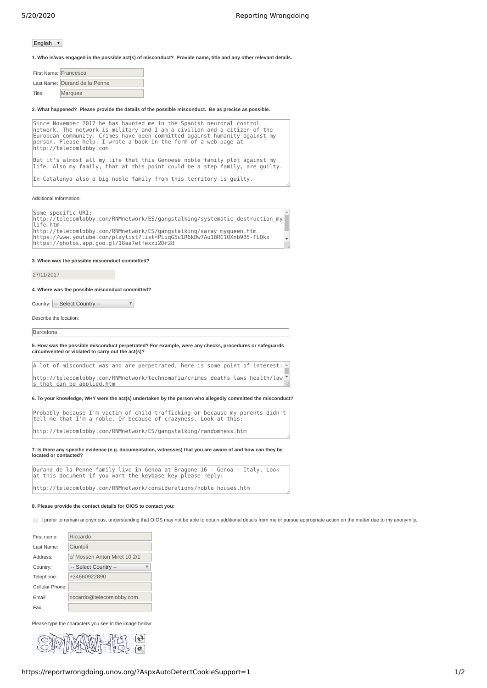## English  $\sqrt{ }$

**1. Who is/was engaged in the possible act(s) of misconduct? Provide name, title and any other relevant details.**

| First Name: Francesca |                               |
|-----------------------|-------------------------------|
|                       | Last Name: Durand de la Penne |
| Title:                | <b>Marques</b>                |

**2. What happened? Please provide the details of the possible misconduct. Be as precise as possible.**

| Since November 2017 he has haunted me in the Spanish neuronal control<br>network. The network is military and I am a civilian and a citizen of the<br>European community. Crimes have been committed against humanity against my<br>person. Please help. I wrote a book in the form of a web page at<br>http://telecomlobby.com |
|---------------------------------------------------------------------------------------------------------------------------------------------------------------------------------------------------------------------------------------------------------------------------------------------------------------------------------|
| But it's almost all my life that this Genoese noble family plot against my<br>life. Also my family, that at this point could be a step family, are guilty.                                                                                                                                                                      |
| In Catalunya also a big noble family from this territory is quilty.                                                                                                                                                                                                                                                             |
| Additional Information:                                                                                                                                                                                                                                                                                                         |
| Some specific URI:<br>http://telecomlobby.com/RNMnetwork/ES/gangstalking/systematic destruction my<br>life.htm                                                                                                                                                                                                                  |
| http://telecomlobby.com/RNMnetwork/ES/gangstalking/saray mygueen.htm<br>https://www.youtube.com/playlist?list=PLiqG5u1R6kDw7Au1BRC10Xnb9B5-TL0kx<br>https://photos.app.goo.gl/18aa7etfexxi2Dr28                                                                                                                                 |
| 3. When was the possible misconduct committed?                                                                                                                                                                                                                                                                                  |
| 27/11/2017                                                                                                                                                                                                                                                                                                                      |
| 4. Where was the possible misconduct committed?                                                                                                                                                                                                                                                                                 |
|                                                                                                                                                                                                                                                                                                                                 |
| Country: -- Select Country --                                                                                                                                                                                                                                                                                                   |
| Describe the location:                                                                                                                                                                                                                                                                                                          |
| Barcelona                                                                                                                                                                                                                                                                                                                       |
| 5. How was the possible misconduct perpetrated? For example, were any checks, procedures or safeguards<br>circumvented or violated to carry out the act(s)?                                                                                                                                                                     |
| A lot of misconduct was and are perpetrated, here is some point of interest:                                                                                                                                                                                                                                                    |
| http://telecomlobby.com/RNMnetwork/technomafia/crimes deaths laws health/law<br>s that can be applied.htm                                                                                                                                                                                                                       |
| 6. To your knowledge, WHY were the act(s) undertaken by the person who allegedly committed the misconduct?                                                                                                                                                                                                                      |
| Probably because I'm victim of child trafficking or because my parents didn't<br>tell me that I'm a noble. Or because of crazyness. Look at this:                                                                                                                                                                               |

**7. Is there any specific evidence (e.g. documentation, witnesses) that you are aware of and how can they be located or contacted?**

Durand de la Penne family live in Genoa at Bragone 16 - Genoa - Italy. Look at this document if you want the keybase key please reply: http://telecomlobby.com/RNMnetwork/considerations/noble\_houses.htm

## **8. Please provide the contact details for OIOS to contact you:**

I prefer to remain anonymous, understanding that OIOS may not be able to obtain additional details from me or pursue appropriate action on the matter due to my anonymity.

| First name:      | Riccardo                     |  |
|------------------|------------------------------|--|
| Last Name:       | Giuntoli                     |  |
| Address:         | c/ Mossen Anton Miret 10 2/1 |  |
| Country:         | -- Select Country --         |  |
| Telephone:       | +34660922890                 |  |
| Cellular Phone:  |                              |  |
| Fmail:           | riccardo@telecomlobby.com    |  |
| Fax <sup>.</sup> |                              |  |

Please type the characters you see in the image below: